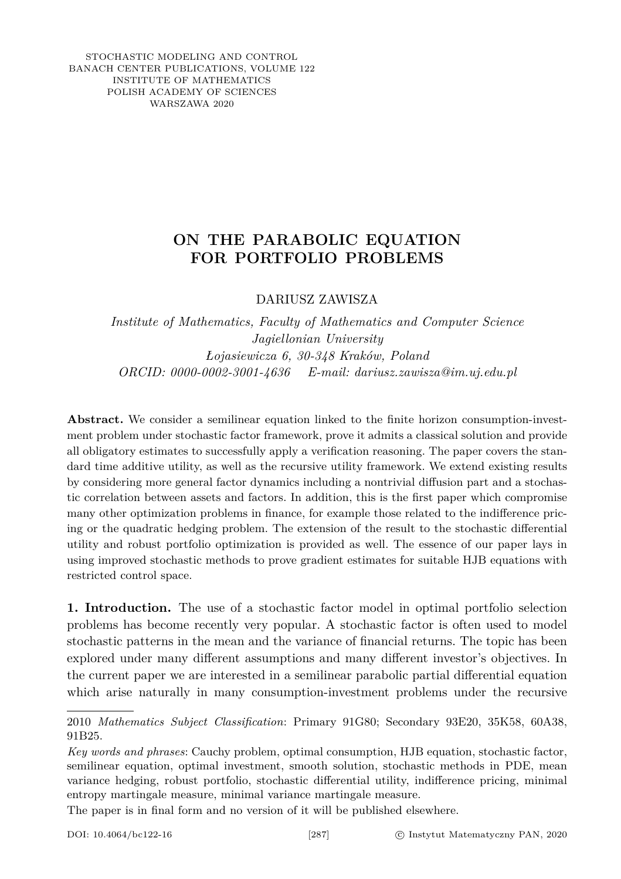STOCHASTIC MODELING AND CONTROL BANACH CENTER PUBLICATIONS, VOLUME 122 INSTITUTE OF MATHEMATICS POLISH ACADEMY OF SCIENCES WARSZAWA 2020

## **ON THE PARABOLIC EQUATION FOR PORTFOLIO PROBLEMS**

DARIUSZ ZAWISZA

*Institute of Mathematics, Faculty of Mathematics and Computer Science Jagiellonian University Łojasiewicza 6, 30-348 Kraków, Poland ORCID: 0000-0002-3001-4636 E-mail: dariusz.zawisza@im.uj.edu.pl*

**Abstract.** We consider a semilinear equation linked to the finite horizon consumption-investment problem under stochastic factor framework, prove it admits a classical solution and provide all obligatory estimates to successfully apply a verification reasoning. The paper covers the standard time additive utility, as well as the recursive utility framework. We extend existing results by considering more general factor dynamics including a nontrivial diffusion part and a stochastic correlation between assets and factors. In addition, this is the first paper which compromise many other optimization problems in finance, for example those related to the indifference pricing or the quadratic hedging problem. The extension of the result to the stochastic differential utility and robust portfolio optimization is provided as well. The essence of our paper lays in using improved stochastic methods to prove gradient estimates for suitable HJB equations with restricted control space.

**1. Introduction.** The use of a stochastic factor model in optimal portfolio selection problems has become recently very popular. A stochastic factor is often used to model stochastic patterns in the mean and the variance of financial returns. The topic has been explored under many different assumptions and many different investor's objectives. In the current paper we are interested in a semilinear parabolic partial differential equation which arise naturally in many consumption-investment problems under the recursive

The paper is in final form and no version of it will be published elsewhere.

<sup>2010</sup> *Mathematics Subject Classification*: Primary 91G80; Secondary 93E20, 35K58, 60A38, 91B25.

*Key words and phrases*: Cauchy problem, optimal consumption, HJB equation, stochastic factor, semilinear equation, optimal investment, smooth solution, stochastic methods in PDE, mean variance hedging, robust portfolio, stochastic differential utility, indifference pricing, minimal entropy martingale measure, minimal variance martingale measure.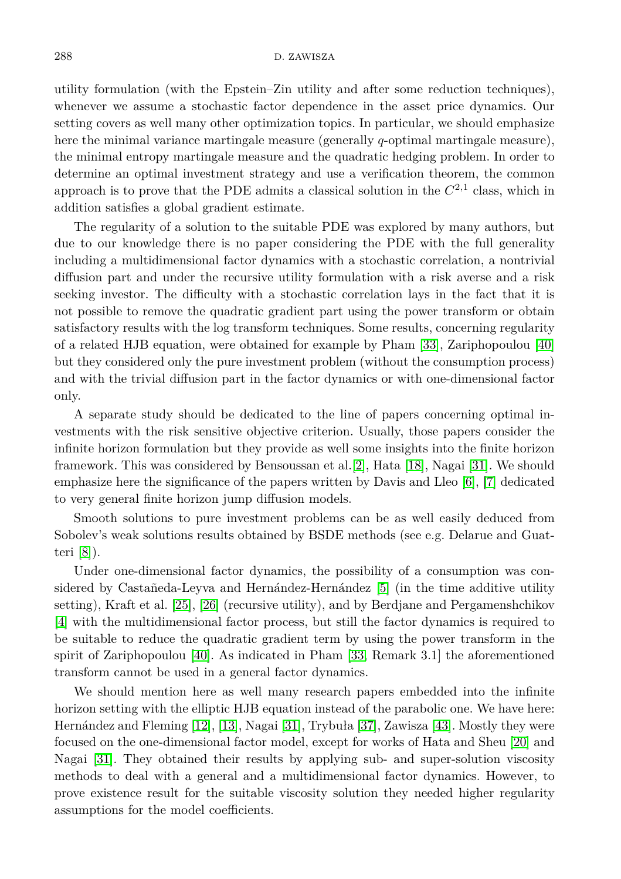utility formulation (with the Epstein–Zin utility and after some reduction techniques), whenever we assume a stochastic factor dependence in the asset price dynamics. Our setting covers as well many other optimization topics. In particular, we should emphasize here the minimal variance martingale measure (generally *q*-optimal martingale measure), the minimal entropy martingale measure and the quadratic hedging problem. In order to determine an optimal investment strategy and use a verification theorem, the common approach is to prove that the PDE admits a classical solution in the  $C^{2,1}$  class, which in addition satisfies a global gradient estimate.

The regularity of a solution to the suitable PDE was explored by many authors, but due to our knowledge there is no paper considering the PDE with the full generality including a multidimensional factor dynamics with a stochastic correlation, a nontrivial diffusion part and under the recursive utility formulation with a risk averse and a risk seeking investor. The difficulty with a stochastic correlation lays in the fact that it is not possible to remove the quadratic gradient part using the power transform or obtain satisfactory results with the log transform techniques. Some results, concerning regularity of a related HJB equation, were obtained for example by Pham [\[33\]](#page-15-0), Zariphopoulou [\[40\]](#page-15-1) but they considered only the pure investment problem (without the consumption process) and with the trivial diffusion part in the factor dynamics or with one-dimensional factor only.

A separate study should be dedicated to the line of papers concerning optimal investments with the risk sensitive objective criterion. Usually, those papers consider the infinite horizon formulation but they provide as well some insights into the finite horizon framework. This was considered by Bensoussan et al.[\[2\]](#page-13-0), Hata [\[18\]](#page-14-0), Nagai [\[31\]](#page-15-2). We should emphasize here the significance of the papers written by Davis and Lleo [\[6\]](#page-14-1), [\[7\]](#page-14-2) dedicated to very general finite horizon jump diffusion models.

Smooth solutions to pure investment problems can be as well easily deduced from Sobolev's weak solutions results obtained by BSDE methods (see e.g. Delarue and Guatteri [\[8\]](#page-14-3)).

Under one-dimensional factor dynamics, the possibility of a consumption was considered by Castañeda-Leyva and Hernández-Hernández [\[5\]](#page-14-4) (in the time additive utility setting), Kraft et al. [\[25\]](#page-14-5), [\[26\]](#page-15-3) (recursive utility), and by Berdjane and Pergamenshchikov [\[4\]](#page-14-6) with the multidimensional factor process, but still the factor dynamics is required to be suitable to reduce the quadratic gradient term by using the power transform in the spirit of Zariphopoulou [\[40\]](#page-15-1). As indicated in Pham [\[33,](#page-15-0) Remark 3.1] the aforementioned transform cannot be used in a general factor dynamics.

We should mention here as well many research papers embedded into the infinite horizon setting with the elliptic HJB equation instead of the parabolic one. We have here: Hernández and Fleming [\[12\]](#page-14-7), [\[13\]](#page-14-8), Nagai [\[31\]](#page-15-2), Trybuła [\[37\]](#page-15-4), Zawisza [\[43\]](#page-15-5). Mostly they were focused on the one-dimensional factor model, except for works of Hata and Sheu [\[20\]](#page-14-9) and Nagai [\[31\]](#page-15-2). They obtained their results by applying sub- and super-solution viscosity methods to deal with a general and a multidimensional factor dynamics. However, to prove existence result for the suitable viscosity solution they needed higher regularity assumptions for the model coefficients.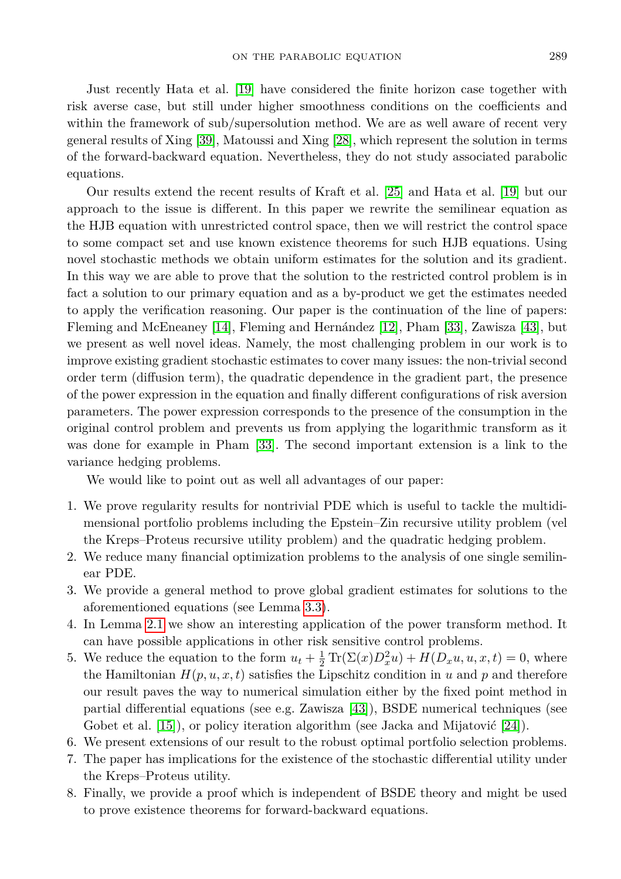Just recently Hata et al. [\[19\]](#page-14-10) have considered the finite horizon case together with risk averse case, but still under higher smoothness conditions on the coefficients and within the framework of sub/supersolution method. We are as well aware of recent very general results of Xing [\[39\]](#page-15-6), Matoussi and Xing [\[28\]](#page-15-7), which represent the solution in terms of the forward-backward equation. Nevertheless, they do not study associated parabolic equations.

Our results extend the recent results of Kraft et al. [\[25\]](#page-14-5) and Hata et al. [\[19\]](#page-14-10) but our approach to the issue is different. In this paper we rewrite the semilinear equation as the HJB equation with unrestricted control space, then we will restrict the control space to some compact set and use known existence theorems for such HJB equations. Using novel stochastic methods we obtain uniform estimates for the solution and its gradient. In this way we are able to prove that the solution to the restricted control problem is in fact a solution to our primary equation and as a by-product we get the estimates needed to apply the verification reasoning. Our paper is the continuation of the line of papers: Fleming and McEneaney [\[14\]](#page-14-11), Fleming and Hernández [\[12\]](#page-14-7), Pham [\[33\]](#page-15-0), Zawisza [\[43\]](#page-15-5), but we present as well novel ideas. Namely, the most challenging problem in our work is to improve existing gradient stochastic estimates to cover many issues: the non-trivial second order term (diffusion term), the quadratic dependence in the gradient part, the presence of the power expression in the equation and finally different configurations of risk aversion parameters. The power expression corresponds to the presence of the consumption in the original control problem and prevents us from applying the logarithmic transform as it was done for example in Pham [\[33\]](#page-15-0). The second important extension is a link to the variance hedging problems.

We would like to point out as well all advantages of our paper:

- 1. We prove regularity results for nontrivial PDE which is useful to tackle the multidimensional portfolio problems including the Epstein–Zin recursive utility problem (vel the Kreps–Proteus recursive utility problem) and the quadratic hedging problem.
- 2. We reduce many financial optimization problems to the analysis of one single semilinear PDE.
- 3. We provide a general method to prove global gradient estimates for solutions to the aforementioned equations (see Lemma [3.3\)](#page-9-0).
- 4. In Lemma [2.1](#page-5-0) we show an interesting application of the power transform method. It can have possible applications in other risk sensitive control problems.
- 5. We reduce the equation to the form  $u_t + \frac{1}{2} \text{Tr}(\Sigma(x)D_x^2 u) + H(D_x u, u, x, t) = 0$ , where the Hamiltonian  $H(p, u, x, t)$  satisfies the Lipschitz condition in *u* and *p* and therefore our result paves the way to numerical simulation either by the fixed point method in partial differential equations (see e.g. Zawisza [\[43\]](#page-15-5)), BSDE numerical techniques (see Gobet et al. [\[15\]](#page-14-12)), or policy iteration algorithm (see Jacka and Mijatović [\[24\]](#page-14-13)).
- 6. We present extensions of our result to the robust optimal portfolio selection problems.
- 7. The paper has implications for the existence of the stochastic differential utility under the Kreps–Proteus utility.
- 8. Finally, we provide a proof which is independent of BSDE theory and might be used to prove existence theorems for forward-backward equations.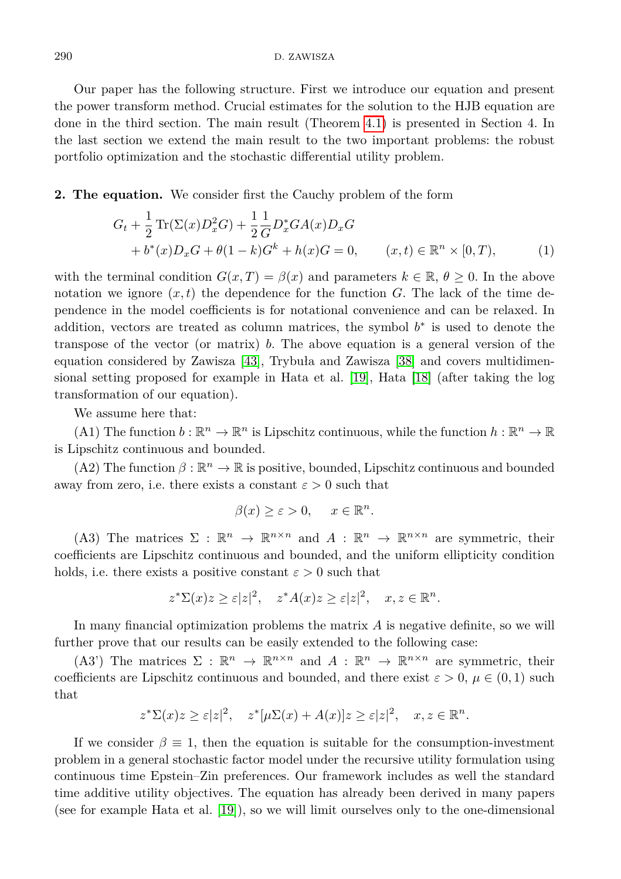Our paper has the following structure. First we introduce our equation and present the power transform method. Crucial estimates for the solution to the HJB equation are done in the third section. The main result (Theorem [4.1\)](#page-11-0) is presented in Section 4. In the last section we extend the main result to the two important problems: the robust portfolio optimization and the stochastic differential utility problem.

**2. The equation.** We consider first the Cauchy problem of the form

$$
G_t + \frac{1}{2} \text{Tr}(\Sigma(x)D_x^2 G) + \frac{1}{2} \frac{1}{G} D_x^* G A(x) D_x G + b^*(x) D_x G + \theta (1 - k) G^k + h(x) G = 0, \qquad (x, t) \in \mathbb{R}^n \times [0, T),
$$
 (1)

with the terminal condition  $G(x, T) = \beta(x)$  and parameters  $k \in \mathbb{R}, \theta \geq 0$ . In the above notation we ignore  $(x, t)$  the dependence for the function *G*. The lack of the time dependence in the model coefficients is for notational convenience and can be relaxed. In addition, vectors are treated as column matrices, the symbol  $b^*$  is used to denote the transpose of the vector (or matrix) *b*. The above equation is a general version of the equation considered by Zawisza [\[43\]](#page-15-5), Trybuła and Zawisza [\[38\]](#page-15-8) and covers multidimensional setting proposed for example in Hata et al. [\[19\]](#page-14-10), Hata [\[18\]](#page-14-0) (after taking the log transformation of our equation).

We assume here that:

(A1) The function  $b : \mathbb{R}^n \to \mathbb{R}^n$  is Lipschitz continuous, while the function  $h : \mathbb{R}^n \to \mathbb{R}$ is Lipschitz continuous and bounded.

(A2) The function  $\beta : \mathbb{R}^n \to \mathbb{R}$  is positive, bounded, Lipschitz continuous and bounded away from zero, i.e. there exists a constant  $\varepsilon > 0$  such that

<span id="page-3-0"></span>
$$
\beta(x) \ge \varepsilon > 0, \quad x \in \mathbb{R}^n.
$$

(A3) The matrices  $\Sigma : \mathbb{R}^n \to \mathbb{R}^{n \times n}$  and  $A : \mathbb{R}^n \to \mathbb{R}^{n \times n}$  are symmetric, their coefficients are Lipschitz continuous and bounded, and the uniform ellipticity condition holds, i.e. there exists a positive constant  $\varepsilon > 0$  such that

$$
z^*\Sigma(x)z \ge \varepsilon |z|^2, \quad z^*A(x)z \ge \varepsilon |z|^2, \quad x, z \in \mathbb{R}^n.
$$

In many financial optimization problems the matrix *A* is negative definite, so we will further prove that our results can be easily extended to the following case:

(A3<sup>'</sup>) The matrices  $\Sigma : \mathbb{R}^n \to \mathbb{R}^{n \times n}$  and  $A : \mathbb{R}^n \to \mathbb{R}^{n \times n}$  are symmetric, their coefficients are Lipschitz continuous and bounded, and there exist  $\varepsilon > 0$ ,  $\mu \in (0,1)$  such that

$$
z^*\Sigma(x)z \ge \varepsilon |z|^2, \quad z^*[\mu\Sigma(x) + A(x)]z \ge \varepsilon |z|^2, \quad x, z \in \mathbb{R}^n.
$$

If we consider  $\beta \equiv 1$ , then the equation is suitable for the consumption-investment problem in a general stochastic factor model under the recursive utility formulation using continuous time Epstein–Zin preferences. Our framework includes as well the standard time additive utility objectives. The equation has already been derived in many papers (see for example Hata et al. [\[19\]](#page-14-10)), so we will limit ourselves only to the one-dimensional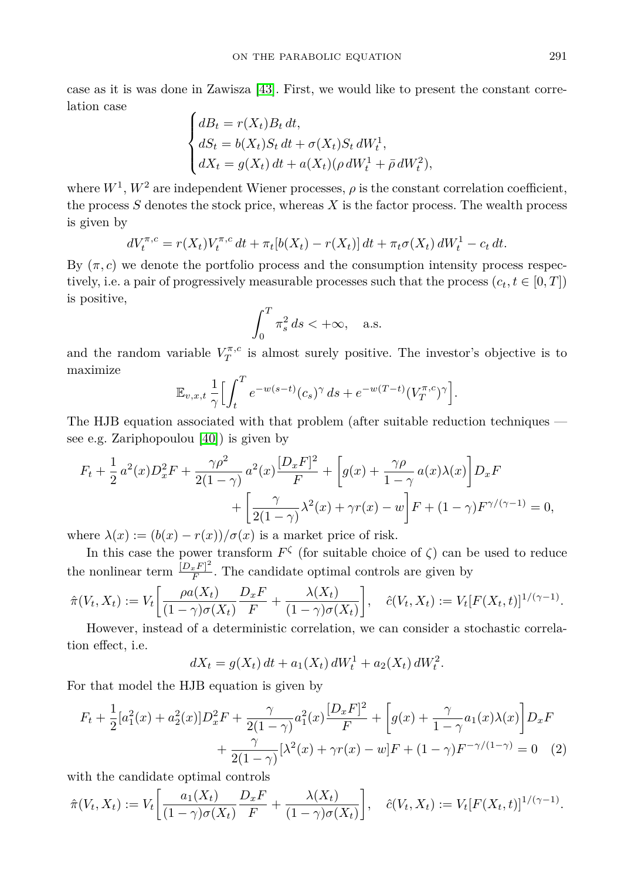case as it is was done in Zawisza [\[43\]](#page-15-5). First, we would like to present the constant correlation case

$$
\begin{cases}\ndB_t = r(X_t)B_t dt, \\
dS_t = b(X_t)S_t dt + \sigma(X_t)S_t dW_t^1, \\
dX_t = g(X_t) dt + a(X_t)(\rho dW_t^1 + \bar{\rho} dW_t^2),\n\end{cases}
$$

where  $W^1$ ,  $W^2$  are independent Wiener processes,  $\rho$  is the constant correlation coefficient, the process *S* denotes the stock price, whereas *X* is the factor process. The wealth process is given by

$$
dV_t^{\pi,c} = r(X_t)V_t^{\pi,c} dt + \pi_t [b(X_t) - r(X_t)] dt + \pi_t \sigma(X_t) dW_t^1 - c_t dt.
$$

By  $(\pi, c)$  we denote the portfolio process and the consumption intensity process respectively, i.e. a pair of progressively measurable processes such that the process  $(c_t, t \in [0, T])$ is positive,

$$
\int_0^T \pi_s^2 ds < +\infty, \quad \text{a.s.}
$$

and the random variable  $V_T^{\pi,c}$  is almost surely positive. The investor's objective is to maximize

$$
\mathbb{E}_{v,x,t} \frac{1}{\gamma} \Big[ \int_t^T e^{-w(s-t)} (c_s)^\gamma ds + e^{-w(T-t)} (V_T^{\pi,c})^\gamma \Big].
$$

The HJB equation associated with that problem (after suitable reduction techniques see e.g. Zariphopoulou [\[40\]](#page-15-1)) is given by

$$
F_t + \frac{1}{2}a^2(x)D_x^2F + \frac{\gamma \rho^2}{2(1-\gamma)}a^2(x)\frac{[D_xF]^2}{F} + \left[g(x) + \frac{\gamma \rho}{1-\gamma}a(x)\lambda(x)\right]D_xF
$$

$$
+ \left[\frac{\gamma}{2(1-\gamma)}\lambda^2(x) + \gamma r(x) - w\right]F + (1-\gamma)F^{\gamma/(\gamma-1)} = 0,
$$

where  $\lambda(x) := (b(x) - r(x))/\sigma(x)$  is a market price of risk.

In this case the power transform  $F^{\zeta}$  (for suitable choice of  $\zeta$ ) can be used to reduce the nonlinear term  $\frac{[D_x F]^2}{F}$  $\frac{xF}{F}$ . The candidate optimal controls are given by

$$
\hat{\pi}(V_t, X_t) := V_t \left[ \frac{\rho a(X_t)}{(1 - \gamma)\sigma(X_t)} \frac{D_x F}{F} + \frac{\lambda(X_t)}{(1 - \gamma)\sigma(X_t)} \right], \quad \hat{c}(V_t, X_t) := V_t [F(X_t, t)]^{1/(\gamma - 1)}.
$$

However, instead of a deterministic correlation, we can consider a stochastic correlation effect, i.e.

$$
dX_t = g(X_t) dt + a_1(X_t) dW_t^1 + a_2(X_t) dW_t^2.
$$

For that model the HJB equation is given by

$$
F_t + \frac{1}{2} [a_1^2(x) + a_2^2(x)] D_x^2 F + \frac{\gamma}{2(1-\gamma)} a_1^2(x) \frac{[D_x F]^2}{F} + \left[ g(x) + \frac{\gamma}{1-\gamma} a_1(x) \lambda(x) \right] D_x F
$$
  
+ 
$$
\frac{\gamma}{2(1-\gamma)} [\lambda^2(x) + \gamma r(x) - w] F + (1-\gamma) F^{-\gamma/(1-\gamma)} = 0 \quad (2)
$$

with the candidate optimal controls

$$
\hat{\pi}(V_t, X_t) := V_t \left[ \frac{a_1(X_t)}{(1 - \gamma)\sigma(X_t)} \frac{D_x F}{F} + \frac{\lambda(X_t)}{(1 - \gamma)\sigma(X_t)} \right], \quad \hat{c}(V_t, X_t) := V_t [F(X_t, t)]^{1/(\gamma - 1)}.
$$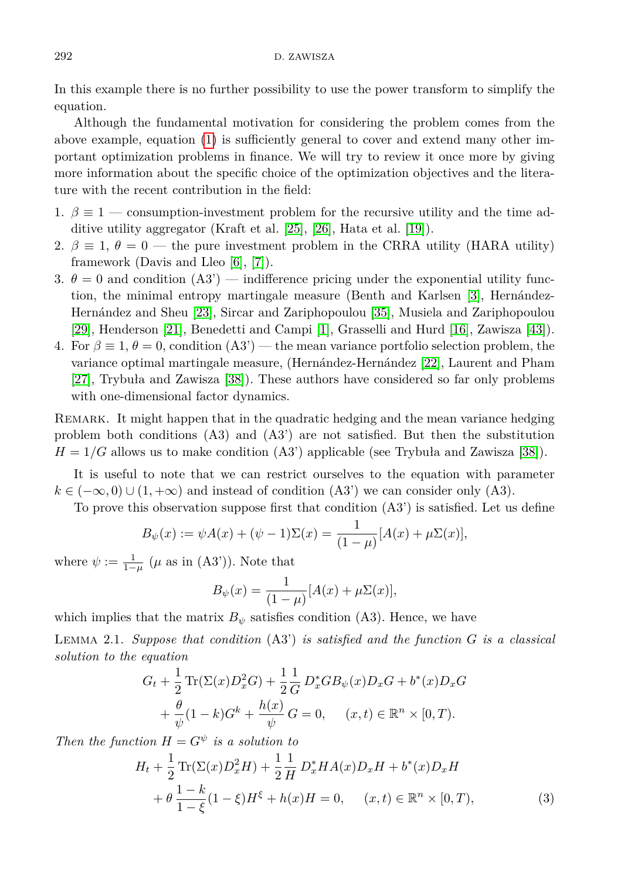In this example there is no further possibility to use the power transform to simplify the equation.

Although the fundamental motivation for considering the problem comes from the above example, equation [\(1\)](#page-3-0) is sufficiently general to cover and extend many other important optimization problems in finance. We will try to review it once more by giving more information about the specific choice of the optimization objectives and the literature with the recent contribution in the field:

- 1.  $\beta \equiv 1$  consumption-investment problem for the recursive utility and the time additive utility aggregator (Kraft et al. [\[25\]](#page-14-5), [\[26\]](#page-15-3), Hata et al. [\[19\]](#page-14-10)).
- 2.  $\beta \equiv 1, \theta = 0$  the pure investment problem in the CRRA utility (HARA utility) framework (Davis and Lleo [\[6\]](#page-14-1), [\[7\]](#page-14-2)).
- 3.  $\theta = 0$  and condition (A3') indifference pricing under the exponential utility function, the minimal entropy martingale measure (Benth and Karlsen [\[3\]](#page-14-14), Hernández-Hernández and Sheu [\[23\]](#page-14-15), Sircar and Zariphopoulou [\[35\]](#page-15-9), Musiela and Zariphopoulou [\[29\]](#page-15-10), Henderson [\[21\]](#page-14-16), Benedetti and Campi [\[1\]](#page-13-1), Grasselli and Hurd [\[16\]](#page-14-17), Zawisza [\[43\]](#page-15-5)).
- 4. For  $\beta \equiv 1, \theta = 0$ , condition (A3') the mean variance portfolio selection problem, the variance optimal martingale measure, (Hernández-Hernández [\[22\]](#page-14-18), Laurent and Pham [\[27\]](#page-15-11), Trybuła and Zawisza [\[38\]](#page-15-8)). These authors have considered so far only problems with one-dimensional factor dynamics.

REMARK. It might happen that in the quadratic hedging and the mean variance hedging problem both conditions (A3) and (A3') are not satisfied. But then the substitution  $H = 1/G$  allows us to make condition  $(A3')$  applicable (see Trybuła and Zawisza [\[38\]](#page-15-8)).

It is useful to note that we can restrict ourselves to the equation with parameter  $k \in (-\infty, 0) \cup (1, +\infty)$  and instead of condition (A3') we can consider only (A3).

To prove this observation suppose first that condition (A3') is satisfied. Let us define

$$
B_{\psi}(x) := \psi A(x) + (\psi - 1) \Sigma(x) = \frac{1}{(1 - \mu)} [A(x) + \mu \Sigma(x)],
$$

where  $\psi := \frac{1}{1-\mu}$  ( $\mu$  as in (A3')). Note that

<span id="page-5-1"></span>
$$
B_{\psi}(x) = \frac{1}{(1-\mu)} [A(x) + \mu \Sigma(x)],
$$

which implies that the matrix  $B_{\psi}$  satisfies condition (A3). Hence, we have

<span id="page-5-0"></span>Lemma 2.1. *Suppose that condition* (A3') *is satisfied and the function G is a classical solution to the equation*

$$
G_t + \frac{1}{2} \text{Tr}(\Sigma(x)D_x^2 G) + \frac{1}{2} \frac{1}{G} D_x^* G B_\psi(x) D_x G + b^*(x) D_x G
$$
  
+  $\frac{\theta}{\psi} (1 - k) G^k + \frac{h(x)}{\psi} G = 0$ ,  $(x, t) \in \mathbb{R}^n \times [0, T)$ .

*Then the function*  $H = G^{\psi}$  *is a solution to* 

$$
H_t + \frac{1}{2} \text{Tr}(\Sigma(x)D_x^2 H) + \frac{1}{2} \frac{1}{H} D_x^* H A(x) D_x H + b^*(x) D_x H
$$
  
+  $\theta \frac{1-k}{1-\xi} (1-\xi) H^{\xi} + h(x) H = 0, \quad (x, t) \in \mathbb{R}^n \times [0, T),$  (3)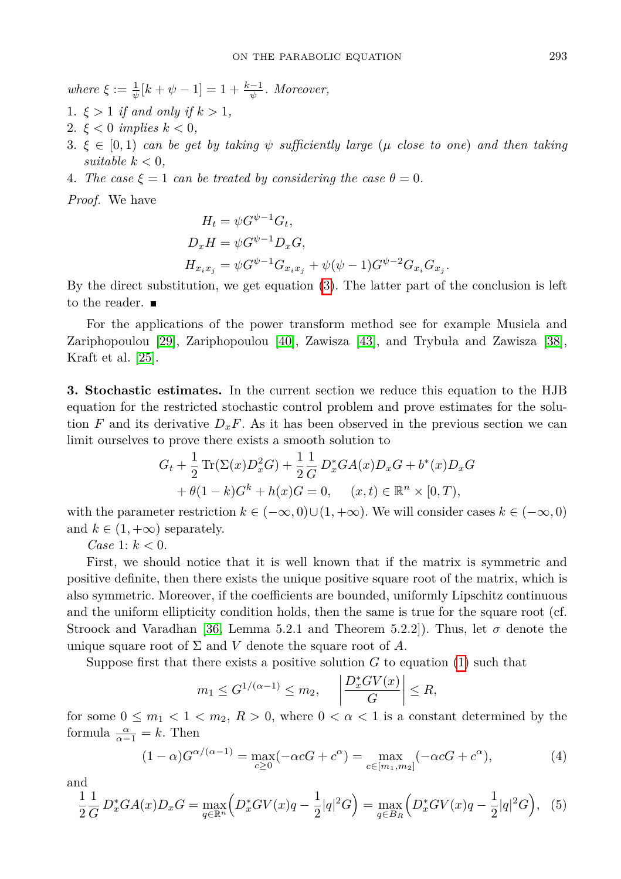$where \xi := \frac{1}{\psi}[k + \psi - 1] = 1 + \frac{k-1}{\psi}$ . Moreover,

- 1.  $\xi > 1$  *if and only if*  $k > 1$ ,
- 2.  $\xi < 0$  *implies*  $k < 0$ ,
- 3.  $\xi \in [0,1)$  *can be get by taking*  $\psi$  *sufficiently large* ( $\mu$  *close to one*) *and then taking suitable*  $k < 0$ *,*
- 4. *The case*  $\xi = 1$  *can be treated by considering the case*  $\theta = 0$ *.*

*Proof.* We have

$$
H_t = \psi G^{\psi - 1} G_t,
$$
  
\n
$$
D_x H = \psi G^{\psi - 1} D_x G,
$$
  
\n
$$
H_{x_i x_j} = \psi G^{\psi - 1} G_{x_i x_j} + \psi(\psi - 1) G^{\psi - 2} G_{x_i} G_{x_j}.
$$

By the direct substitution, we get equation [\(3\)](#page-5-1). The latter part of the conclusion is left to the reader.  $\blacksquare$ 

For the applications of the power transform method see for example Musiela and Zariphopoulou [\[29\]](#page-15-10), Zariphopoulou [\[40\]](#page-15-1), Zawisza [\[43\]](#page-15-5), and Trybuła and Zawisza [\[38\]](#page-15-8), Kraft et al. [\[25\]](#page-14-5).

**3. Stochastic estimates.** In the current section we reduce this equation to the HJB equation for the restricted stochastic control problem and prove estimates for the solution *F* and its derivative  $D_xF$ . As it has been observed in the previous section we can limit ourselves to prove there exists a smooth solution to

$$
G_t + \frac{1}{2} \text{Tr}(\Sigma(x)D_x^2 G) + \frac{1}{2} \frac{1}{G} D_x^* G A(x) D_x G + b^*(x) D_x G + \theta (1 - k) G^k + h(x) G = 0, \quad (x, t) \in \mathbb{R}^n \times [0, T),
$$

with the parameter restriction  $k \in (-\infty, 0) \cup (1, +\infty)$ . We will consider cases  $k \in (-\infty, 0)$ and  $k \in (1, +\infty)$  separately.

*Case* 1:  $k < 0$ .

First, we should notice that it is well known that if the matrix is symmetric and positive definite, then there exists the unique positive square root of the matrix, which is also symmetric. Moreover, if the coefficients are bounded, uniformly Lipschitz continuous and the uniform ellipticity condition holds, then the same is true for the square root (cf. Stroock and Varadhan [\[36,](#page-15-12) Lemma 5.2.1 and Theorem 5.2.2]). Thus, let  $\sigma$  denote the unique square root of  $\Sigma$  and  $V$  denote the square root of  $A$ .

Suppose first that there exists a positive solution *G* to equation [\(1\)](#page-3-0) such that

<span id="page-6-0"></span>
$$
m_1 \leq G^{1/(\alpha-1)} \leq m_2,
$$
,  $\left| \frac{D_x^*GV(x)}{G} \right| \leq R,$ 

for some  $0 \leq m_1 < 1 < m_2$ ,  $R > 0$ , where  $0 < \alpha < 1$  is a constant determined by the formula  $\frac{\alpha}{\alpha-1} = k$ . Then

$$
(1 - \alpha)G^{\alpha/(\alpha - 1)} = \max_{c \ge 0} (-\alpha cG + c^{\alpha}) = \max_{c \in [m_1, m_2]} (-\alpha cG + c^{\alpha}),
$$
(4)

and

<span id="page-6-1"></span>
$$
\frac{1}{2}\frac{1}{G}D_x^*GA(x)D_xG = \max_{q \in \mathbb{R}^n} \left( D_x^*GV(x)q - \frac{1}{2}|q|^2G \right) = \max_{q \in B_R} \left( D_x^*GV(x)q - \frac{1}{2}|q|^2G \right), \tag{5}
$$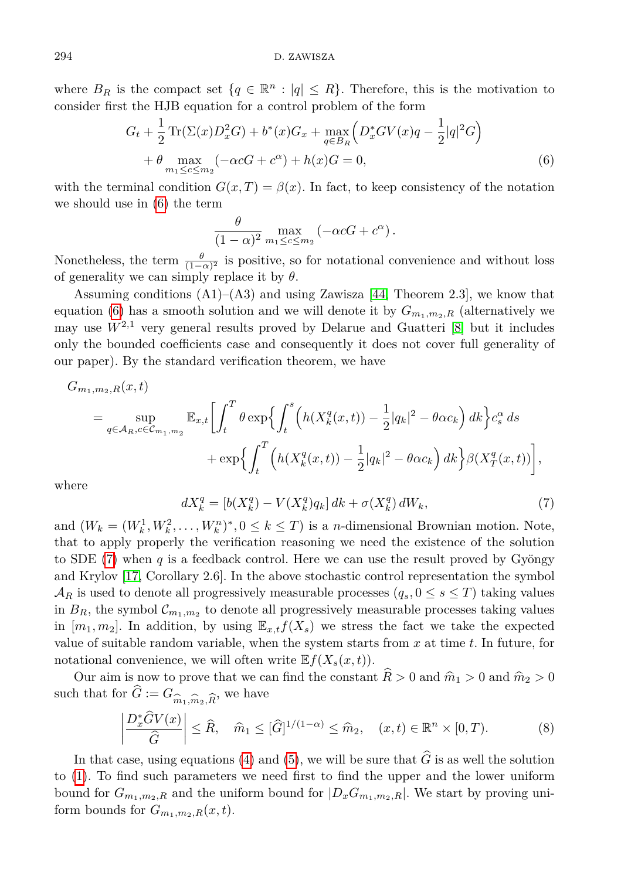where  $B_R$  is the compact set  $\{q \in \mathbb{R}^n : |q| \leq R\}$ . Therefore, this is the motivation to consider first the HJB equation for a control problem of the form

$$
G_t + \frac{1}{2} \text{Tr}(\Sigma(x)D_x^2 G) + b^*(x)G_x + \max_{q \in B_R} \left( D_x^* G V(x) q - \frac{1}{2} |q|^2 G \right) + \theta \max_{m_1 \le c \le m_2} \left( -\alpha c G + c^{\alpha} \right) + h(x)G = 0,
$$
\n(6)

with the terminal condition  $G(x,T) = \beta(x)$ . In fact, to keep consistency of the notation we should use in [\(6\)](#page-7-0) the term

<span id="page-7-0"></span>
$$
\frac{\theta}{(1-\alpha)^2} \max_{m_1 \leq c \leq m_2} \left( -\alpha c G + c^{\alpha} \right).
$$

Nonetheless, the term  $\frac{\theta}{(1-\alpha)^2}$  is positive, so for notational convenience and without loss of generality we can simply replace it by *θ*.

Assuming conditions  $(A1)$ – $(A3)$  and using Zawisza [\[44,](#page-15-13) Theorem 2.3], we know that equation [\(6\)](#page-7-0) has a smooth solution and we will denote it by  $G_{m_1,m_2,R}$  (alternatively we may use  $W^{2,1}$  very general results proved by Delarue and Guatteri  $[8]$  but it includes only the bounded coefficients case and consequently it does not cover full generality of our paper). By the standard verification theorem, we have

$$
G_{m_1, m_2, R}(x, t)
$$
  
=  $\sup_{q \in A_R, c \in C_{m_1, m_2}} \mathbb{E}_{x, t} \left[ \int_t^T \theta \exp \left\{ \int_t^s \left( h(X_k^q(x, t)) - \frac{1}{2} |q_k|^2 - \theta \alpha c_k \right) dk \right\} c_s^{\alpha} ds + \exp \left\{ \int_t^T \left( h(X_k^q(x, t)) - \frac{1}{2} |q_k|^2 - \theta \alpha c_k \right) dk \right\} \beta (X_T^q(x, t)) \right],$ 

<span id="page-7-1"></span>where

$$
dX_k^q = [b(X_k^q) - V(X_k^q)q_k]dk + \sigma(X_k^q) dW_k,
$$
\n(7)

and  $(W_k = (W_k^1, W_k^2, \dots, W_k^n)^*, 0 \le k \le T)$  is a *n*-dimensional Brownian motion. Note, that to apply properly the verification reasoning we need the existence of the solution to SDE [\(7\)](#page-7-1) when *q* is a feedback control. Here we can use the result proved by Gyöngy and Krylov [\[17,](#page-14-19) Corollary 2.6]. In the above stochastic control representation the symbol  $\mathcal{A}_R$  is used to denote all progressively measurable processes  $(q_s, 0 \le s \le T)$  taking values in  $B_R$ , the symbol  $\mathcal{C}_{m_1,m_2}$  to denote all progressively measurable processes taking values in  $[m_1, m_2]$ . In addition, by using  $\mathbb{E}_{x,t} f(X_s)$  we stress the fact we take the expected value of suitable random variable, when the system starts from *x* at time *t*. In future, for notational convenience, we will often write  $E f(X_s(x,t))$ .

Our aim is now to prove that we can find the constant  $\widehat{R} > 0$  and  $\widehat{m}_1 > 0$  and  $\widehat{m}_2 > 0$ such that for  $G := G_{\widehat{m}_1, \widehat{m}_2, \widehat{R}}$ , we have

$$
\left|\frac{D_x^*\widehat{G}V(x)}{\widehat{G}}\right| \leq \widehat{R}, \quad \widehat{m}_1 \leq [\widehat{G}]^{1/(1-\alpha)} \leq \widehat{m}_2, \quad (x,t) \in \mathbb{R}^n \times [0,T). \tag{8}
$$

<span id="page-7-2"></span>In that case, using equations [\(4\)](#page-6-0) and [\(5\)](#page-6-1), we will be sure that  $\hat{G}$  is as well the solution to [\(1\)](#page-3-0). To find such parameters we need first to find the upper and the lower uniform bound for  $G_{m_1,m_2,R}$  and the uniform bound for  $|D_xG_{m_1,m_2,R}|$ . We start by proving uniform bounds for  $G_{m_1,m_2,R}(x,t)$ .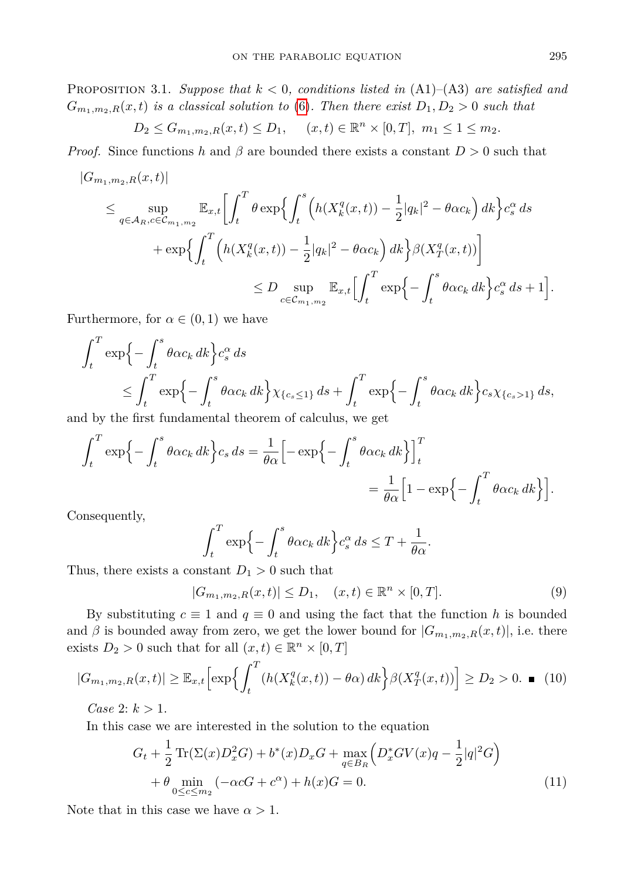Proposition 3.1. *Suppose that k <* 0*, conditions listed in* (A1)–(A3) *are satisfied and*  $G_{m_1,m_2,R}(x,t)$  *is a classical solution to* [\(6\)](#page-7-0)*. Then there exist*  $D_1, D_2 > 0$  *such that* 

$$
D_2 \leq G_{m_1,m_2,R}(x,t) \leq D_1, \quad (x,t) \in \mathbb{R}^n \times [0,T], \ m_1 \leq 1 \leq m_2.
$$

*Proof.* Since functions *h* and  $\beta$  are bounded there exists a constant  $D > 0$  such that

$$
|G_{m_1,m_2,R}(x,t)|
$$
  
\n
$$
\leq \sup_{q\in A_R,c\in\mathcal{C}_{m_1,m_2}} \mathbb{E}_{x,t} \left[ \int_t^T \theta \exp\left\{ \int_t^s \left( h(X_k^q(x,t)) - \frac{1}{2} |q_k|^2 - \theta \alpha c_k \right) dk \right\} c_s^{\alpha} ds
$$
  
\n
$$
+ \exp\left\{ \int_t^T \left( h(X_k^q(x,t)) - \frac{1}{2} |q_k|^2 - \theta \alpha c_k \right) dk \right\} \beta (X_T^q(x,t)) \right\}
$$
  
\n
$$
\leq D \sup_{c\in\mathcal{C}_{m_1,m_2}} \mathbb{E}_{x,t} \left[ \int_t^T \exp\left\{ - \int_t^s \theta \alpha c_k dk \right\} c_s^{\alpha} ds + 1 \right].
$$

Furthermore, for  $\alpha \in (0,1)$  we have

$$
\int_{t}^{T} \exp\left\{-\int_{t}^{s} \theta \alpha c_{k} dk\right\} c_{s}^{\alpha} ds
$$
\n
$$
\leq \int_{t}^{T} \exp\left\{-\int_{t}^{s} \theta \alpha c_{k} dk\right\} \chi_{\{c_{s} \leq 1\}} ds + \int_{t}^{T} \exp\left\{-\int_{t}^{s} \theta \alpha c_{k} dk\right\} c_{s} \chi_{\{c_{s} > 1\}} ds,
$$

and by the first fundamental theorem of calculus, we get

$$
\int_{t}^{T} \exp\left\{-\int_{t}^{s} \theta \alpha c_{k} dk\right\} c_{s} ds = \frac{1}{\theta \alpha} \Big[-\exp\left\{-\int_{t}^{s} \theta \alpha c_{k} dk\right\} \Big]_{t}^{T}
$$

$$
= \frac{1}{\theta \alpha} \Big[1 - \exp\left\{-\int_{t}^{T} \theta \alpha c_{k} dk\right\} \Big].
$$

Consequently,

$$
\int_t^T \exp\Big\{-\int_t^s \theta \alpha c_k \, dk\Big\} c_s^\alpha \, ds \leq T + \frac{1}{\theta \alpha}.
$$

Thus, there exists a constant  $D_1 > 0$  such that

<span id="page-8-0"></span> $|G_{m_1,m_2,R}(x,t)| \le D_1, (x,t) \in \mathbb{R}^n \times [0,T].$  (9)

By substituting  $c \equiv 1$  and  $q \equiv 0$  and using the fact that the function h is bounded and  $\beta$  is bounded away from zero, we get the lower bound for  $|G_{m_1,m_2,R}(x,t)|$ , i.e. there exists  $D_2 > 0$  such that for all  $(x, t) \in \mathbb{R}^n \times [0, T]$ 

$$
|G_{m_1,m_2,R}(x,t)| \geq \mathbb{E}_{x,t} \Big[ \exp\Big\{ \int_t^T (h(X_k^q(x,t)) - \theta \alpha) \, dk \Big\} \beta(X_T^q(x,t)) \Big] \geq D_2 > 0. \quad \blacksquare \tag{10}
$$

*Case* 2:  $k > 1$ .

In this case we are interested in the solution to the equation

$$
G_t + \frac{1}{2} \operatorname{Tr}(\Sigma(x)D_x^2 G) + b^*(x)D_x G + \max_{q \in B_R} \left( D_x^* G V(x) q - \frac{1}{2}|q|^2 G \right) + \theta \min_{0 \le c \le m_2} \left( -\alpha c G + c^{\alpha} \right) + h(x)G = 0.
$$
 (11)

<span id="page-8-1"></span>Note that in this case we have  $\alpha > 1$ .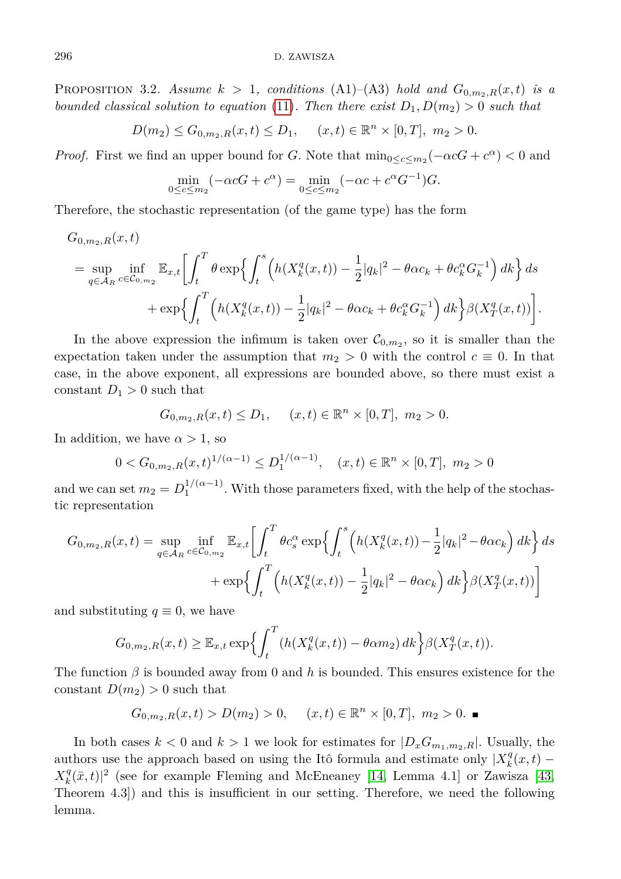**PROPOSITION** 3.2. Assume  $k > 1$ , conditions (A1)–(A3) hold and  $G_{0,m_2,R}(x,t)$  is a *bounded classical solution to equation* [\(11\)](#page-8-0). Then there exist  $D_1, D(m_2) > 0$  such that

$$
D(m_2) \le G_{0,m_2,R}(x,t) \le D_1, \quad (x,t) \in \mathbb{R}^n \times [0,T], \ m_2 > 0.
$$

*Proof.* First we find an upper bound for *G*. Note that  $\min_{0 \leq c \leq m_2} (-\alpha cG + c^{\alpha}) < 0$  and

$$
\min_{0 \le c \le m_2} (-\alpha cG + c^{\alpha}) = \min_{0 \le c \le m_2} (-\alpha c + c^{\alpha} G^{-1})G.
$$

Therefore, the stochastic representation (of the game type) has the form

$$
G_{0,m_2,R}(x,t)
$$
  
=  $\sup_{q \in A_R} \inf_{c \in C_{0,m_2}} \mathbb{E}_{x,t} \left[ \int_t^T \theta \exp \left\{ \int_t^s \left( h(X_k^q(x,t)) - \frac{1}{2} |q_k|^2 - \theta \alpha c_k + \theta c_k^{\alpha} G_k^{-1} \right) dk \right\} ds$   
+  $\exp \left\{ \int_t^T \left( h(X_k^q(x,t)) - \frac{1}{2} |q_k|^2 - \theta \alpha c_k + \theta c_k^{\alpha} G_k^{-1} \right) dk \right\} \beta (X_T^q(x,t)) \right].$ 

In the above expression the infimum is taken over  $\mathcal{C}_{0,m_2}$ , so it is smaller than the expectation taken under the assumption that  $m_2 > 0$  with the control  $c \equiv 0$ . In that case, in the above exponent, all expressions are bounded above, so there must exist a constant  $D_1 > 0$  such that

$$
G_{0,m_2,R}(x,t) \le D_1, \quad (x,t) \in \mathbb{R}^n \times [0,T], \ m_2 > 0.
$$

In addition, we have  $\alpha > 1$ , so

$$
0 < G_{0,m_2,R}(x,t)^{1/(\alpha-1)} \le D_1^{1/(\alpha-1)}, \quad (x,t) \in \mathbb{R}^n \times [0,T], \ m_2 > 0
$$

and we can set  $m_2 = D_1^{1/(\alpha-1)}$ . With those parameters fixed, with the help of the stochastic representation

$$
G_{0,m_2,R}(x,t) = \sup_{q \in \mathcal{A}_R} \inf_{c \in \mathcal{C}_{0,m_2}} \mathbb{E}_{x,t} \left[ \int_t^T \theta c_s^{\alpha} \exp \left\{ \int_t^s \left( h(X_k^q(x,t)) - \frac{1}{2} |q_k|^2 - \theta \alpha c_k \right) dk \right\} ds + \exp \left\{ \int_t^T \left( h(X_k^q(x,t)) - \frac{1}{2} |q_k|^2 - \theta \alpha c_k \right) dk \right\} \beta (X_T^q(x,t)) \right]
$$

and substituting  $q \equiv 0$ , we have

$$
G_{0,m_2,R}(x,t) \geq \mathbb{E}_{x,t} \exp\left\{ \int_t^T (h(X_k^q(x,t)) - \theta \alpha m_2) \, dk \right\} \beta(X_T^q(x,t)).
$$

The function *β* is bounded away from 0 and *h* is bounded. This ensures existence for the constant  $D(m_2) > 0$  such that

$$
G_{0,m_2,R}(x,t) > D(m_2) > 0, \quad (x,t) \in \mathbb{R}^n \times [0,T], \ m_2 > 0.
$$

<span id="page-9-0"></span>In both cases  $k < 0$  and  $k > 1$  we look for estimates for  $|D_xG_{m_1,m_2,R}|$ . Usually, the authors use the approach based on using the Itô formula and estimate only  $|X_k^q(x,t) X_k^q(\bar{x}, t)$ <sup>2</sup> (see for example Fleming and McEneaney [\[14,](#page-14-11) Lemma 4.1] or Zawisza [\[43,](#page-15-5) Theorem 4.3]) and this is insufficient in our setting. Therefore, we need the following lemma.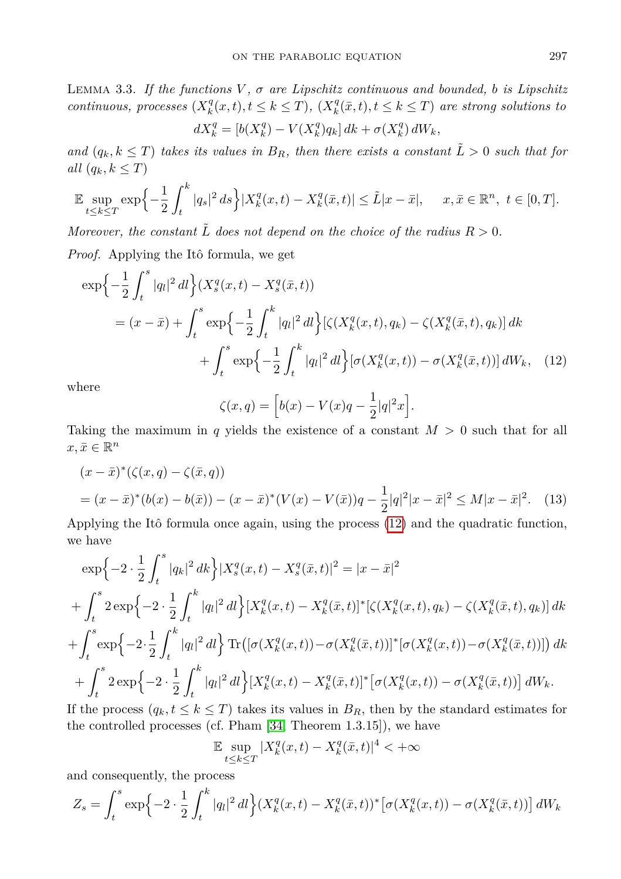Lemma 3.3. *If the functions V , σ are Lipschitz continuous and bounded, b is Lipschitz continuous, processes*  $(X_k^q(x,t), t \leq k \leq T)$ ,  $(X_k^q(\bar{x}, t), t \leq k \leq T)$  are strong solutions to *q q q*

$$
dX_k^q = \left[b(X_k^q) - V(X_k^q)q_k\right]dk + \sigma(X_k^q) dW_k,
$$

*and*  $(q_k, k \leq T)$  *takes its values in*  $B_R$ *, then there exists a constant*  $\tilde{L} > 0$  *such that for all*  $(q_k, k \leq T)$ 

$$
\mathbb{E}\sup_{t\leq k\leq T}\exp\left\{-\frac{1}{2}\int_t^k|q_s|^2\,ds\right\}|X_k^q(x,t)-X_k^q(\bar{x},t)|\leq \tilde{L}|x-\bar{x}|,\quad x,\bar{x}\in\mathbb{R}^n,\ t\in[0,T].
$$

*Moreover, the constant*  $\tilde{L}$  *does not depend on the choice of the radius*  $R > 0$ *.* 

*Proof.* Applying the Itô formula, we get

$$
\exp\left\{-\frac{1}{2}\int_{t}^{s}|q_{l}|^{2}dl\right\}(X_{s}^{q}(x,t)-X_{s}^{q}(\bar{x},t))
$$
\n
$$
=(x-\bar{x})+\int_{t}^{s}\exp\left\{-\frac{1}{2}\int_{t}^{k}|q_{l}|^{2}dl\right\}[\zeta(X_{k}^{q}(x,t),q_{k})-\zeta(X_{k}^{q}(\bar{x},t),q_{k})]dk
$$
\n
$$
+\int_{t}^{s}\exp\left\{-\frac{1}{2}\int_{t}^{k}|q_{l}|^{2}dl\right\}[\sigma(X_{k}^{q}(x,t))-\sigma(X_{k}^{q}(\bar{x},t))]dW_{k}, \quad (12)
$$

where

<span id="page-10-0"></span>
$$
\zeta(x,q) = \left[ b(x) - V(x)q - \frac{1}{2}|q|^2x \right].
$$

Taking the maximum in *q* yields the existence of a constant *M >* 0 such that for all  $x, \bar{x} \in \mathbb{R}^n$ 

$$
(x - \bar{x})^*(\zeta(x, q) - \zeta(\bar{x}, q))
$$
  
=  $(x - \bar{x})^*(b(x) - b(\bar{x})) - (x - \bar{x})^*(V(x) - V(\bar{x}))q - \frac{1}{2}|q|^2|x - \bar{x}|^2 \le M|x - \bar{x}|^2.$  (13)

Applying the Itô formula once again, using the process [\(12\)](#page-10-0) and the quadratic function, we have

$$
\exp\left\{-2\cdot\frac{1}{2}\int_{t}^{s}|q_{k}|^{2}dk\right\}|X_{s}^{q}(x,t)-X_{s}^{q}(\bar{x},t)|^{2}=|x-\bar{x}|^{2}
$$
  
+
$$
\int_{t}^{s}2\exp\left\{-2\cdot\frac{1}{2}\int_{t}^{k}|q_{l}|^{2}dl\right\}|X_{k}^{q}(x,t)-X_{k}^{q}(\bar{x},t)]^{*}[\zeta(X_{k}^{q}(x,t),q_{k})-\zeta(X_{k}^{q}(\bar{x},t),q_{k})]dk
$$
  
+
$$
\int_{t}^{s}\exp\left\{-2\cdot\frac{1}{2}\int_{t}^{k}|q_{l}|^{2}dl\right\}\operatorname{Tr}\left(\left[\sigma(X_{k}^{q}(x,t))-\sigma(X_{k}^{q}(\bar{x},t))\right]^{*}\left[\sigma(X_{k}^{q}(x,t))-\sigma(X_{k}^{q}(\bar{x},t))\right]\right)dk
$$
  
+
$$
\int_{t}^{s}2\exp\left\{-2\cdot\frac{1}{2}\int_{t}^{k}|q_{l}|^{2}dl\right\}|X_{k}^{q}(x,t)-X_{k}^{q}(\bar{x},t)]^{*}\left[\sigma(X_{k}^{q}(x,t))-\sigma(X_{k}^{q}(\bar{x},t))\right]dW_{k}.
$$
  
If the process  $(q, t \leq k \leq T)$  takes its values in  $B_{R}$ , then by the standard estimates for

If the process  $(q_k, t \leq k \leq T)$  takes its values in  $B_R$ , then by the standard estimates for the controlled processes (cf. Pham [\[34,](#page-15-14) Theorem 1.3.15]), we have

$$
\mathbb{E} \sup_{t \le k \le T} |X_k^q(x, t) - X_k^q(\bar{x}, t)|^4 < +\infty
$$

and consequently, the process

$$
Z_s = \int_t^s \exp\left\{-2 \cdot \frac{1}{2} \int_t^k |q_l|^2 dl\right\} (X_k^q(x,t) - X_k^q(\bar{x},t))^* \left[\sigma(X_k^q(x,t)) - \sigma(X_k^q(\bar{x},t))\right] dW_k
$$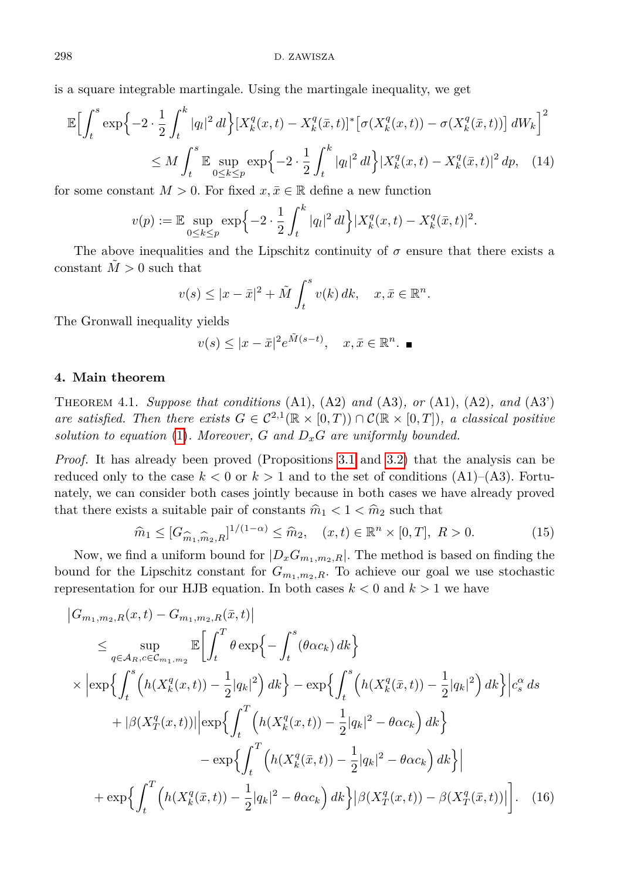is a square integrable martingale. Using the martingale inequality, we get

$$
\mathbb{E}\Big[\int_{t}^{s} \exp\Big\{-2 \cdot \frac{1}{2} \int_{t}^{k} |q_{l}|^{2} dl \Big\} \big[X_{k}^{q}(x,t) - X_{k}^{q}(\bar{x},t)\big]^{*} \big[\sigma(X_{k}^{q}(x,t)) - \sigma(X_{k}^{q}(\bar{x},t))\big] dW_{k}\Big]^{2}
$$
  

$$
\leq M \int_{t}^{s} \mathbb{E}\sup_{0 \leq k \leq p} \exp\Big\{-2 \cdot \frac{1}{2} \int_{t}^{k} |q_{l}|^{2} dl \Big\} \big|X_{k}^{q}(x,t) - X_{k}^{q}(\bar{x},t)\big|^{2} dp, \quad (14)
$$

for some constant  $M > 0$ . For fixed  $x, \overline{x} \in \mathbb{R}$  define a new function

$$
v(p) := \mathbb{E} \sup_{0 \le k \le p} \exp \left\{-2 \cdot \frac{1}{2} \int_t^k |q_l|^2 \, dl \right\} |X_k^q(x, t) - X_k^q(\bar{x}, t)|^2.
$$

The above inequalities and the Lipschitz continuity of  $\sigma$  ensure that there exists a constant  $\tilde{M} > 0$  such that

$$
v(s) \le |x - \bar{x}|^2 + \tilde{M} \int_t^s v(k) \, dk, \quad x, \bar{x} \in \mathbb{R}^n.
$$

The Gronwall inequality yields

<span id="page-11-2"></span>
$$
v(s) \le |x - \bar{x}|^2 e^{\tilde{M}(s-t)}, \quad x, \bar{x} \in \mathbb{R}^n. \quad \blacksquare
$$

## <span id="page-11-0"></span>**4. Main theorem**

Theorem 4.1. *Suppose that conditions* (A1), (A2) *and* (A3)*, or* (A1), (A2)*, and* (A3') *are satisfied. Then there exists*  $G \in C^{2,1}(\mathbb{R} \times [0,T)) \cap C(\mathbb{R} \times [0,T])$ *, a classical positive solution to equation* [\(1\)](#page-3-0). Moreover,  $G$  and  $D_xG$  are uniformly bounded.

*Proof.* It has already been proved (Propositions [3.1](#page-7-2) and [3.2\)](#page-8-1) that the analysis can be reduced only to the case  $k < 0$  or  $k > 1$  and to the set of conditions  $(A1)$ – $(A3)$ . Fortunately, we can consider both cases jointly because in both cases we have already proved that there exists a suitable pair of constants  $\hat{m}_1 < 1 < \hat{m}_2$  such that

<span id="page-11-1"></span>
$$
\hat{m}_1 \le [G_{\hat{m}_1, \hat{m}_2, R}]^{1/(1-\alpha)} \le \hat{m}_2, \quad (x, t) \in \mathbb{R}^n \times [0, T], \ R > 0.
$$
\n(15)

Now, we find a uniform bound for  $|D_xG_{m_1,m_2,R}|$ . The method is based on finding the bound for the Lipschitz constant for  $G_{m_1,m_2,R}$ . To achieve our goal we use stochastic representation for our HJB equation. In both cases  $k < 0$  and  $k > 1$  we have

$$
\begin{split}\n\left|G_{m_{1},m_{2},R}(x,t) - G_{m_{1},m_{2},R}(\bar{x},t)\right| \\
&\leq \sup_{q \in \mathcal{A}_{R}, c \in \mathcal{C}_{m_{1},m_{2}}} \mathbb{E}\bigg[\int_{t}^{T} \theta \exp\bigg\{-\int_{t}^{s} (\theta \alpha c_{k}) dk\bigg\} \\
&\times \bigg|\exp\bigg\{\int_{t}^{s} \Big(h(X_{k}^{q}(x,t)) - \frac{1}{2}|q_{k}|^{2}\Big) dk\bigg\} - \exp\bigg\{\int_{t}^{s} \Big(h(X_{k}^{q}(\bar{x},t)) - \frac{1}{2}|q_{k}|^{2}\Big) dk\bigg\}\bigg|c_{s}^{\alpha} ds \\
&\quad + |\beta(X_{T}^{q}(x,t))||\exp\bigg\{\int_{t}^{T} \Big(h(X_{k}^{q}(x,t)) - \frac{1}{2}|q_{k}|^{2} - \theta \alpha c_{k}\Big) dk\bigg\} \\
&\quad - \exp\bigg\{\int_{t}^{T} \Big(h(X_{k}^{q}(\bar{x},t)) - \frac{1}{2}|q_{k}|^{2} - \theta \alpha c_{k}\big) dk\bigg\}\bigg| \\
&\quad + \exp\bigg\{\int_{t}^{T} \Big(h(X_{k}^{q}(\bar{x},t)) - \frac{1}{2}|q_{k}|^{2} - \theta \alpha c_{k}\big) dk\bigg\}\bigg|\beta(X_{T}^{q}(x,t)) - \beta(X_{T}^{q}(\bar{x},t))\bigg|\bigg].\n\end{split} \tag{16}
$$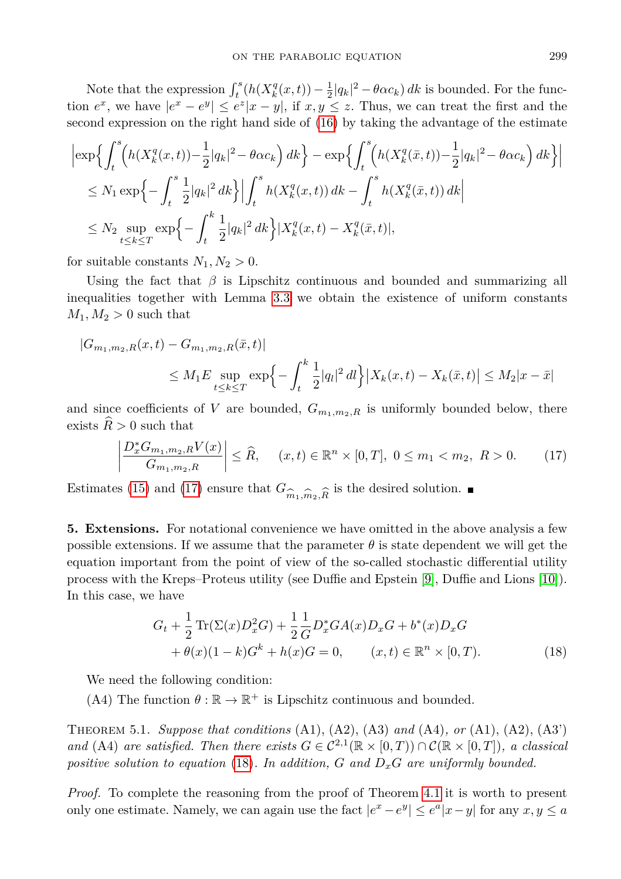Note that the expression  $\int_t^s (h(X_k^q(x,t)) - \frac{1}{2}|q_k|^2 - \theta \alpha c_k) dk$  is bounded. For the function  $e^x$ , we have  $|e^x - e^y| \leq e^z |x - y|$ , if  $x, y \leq z$ . Thus, we can treat the first and the second expression on the right hand side of [\(16\)](#page-11-1) by taking the advantage of the estimate

$$
\begin{split} & \left| \exp \Big\{ \int_{t}^{s} \Big( h(X_{k}^{q}(x,t)) - \frac{1}{2} |q_{k}|^{2} - \theta \alpha c_{k} \Big) \, dk \Big\} - \exp \Big\{ \int_{t}^{s} \Big( h(X_{k}^{q}(\bar{x},t)) - \frac{1}{2} |q_{k}|^{2} - \theta \alpha c_{k} \Big) \, dk \Big\} \Big| \\ & \leq N_{1} \exp \Big\{ - \int_{t}^{s} \frac{1}{2} |q_{k}|^{2} \, dk \Big\} \Big| \int_{t}^{s} h(X_{k}^{q}(x,t)) \, dk - \int_{t}^{s} h(X_{k}^{q}(\bar{x},t)) \, dk \Big| \\ & \leq N_{2} \sup_{t \leq k \leq T} \exp \Big\{ - \int_{t}^{k} \frac{1}{2} |q_{k}|^{2} \, dk \Big\} \big| X_{k}^{q}(x,t) - X_{k}^{q}(\bar{x},t) \big|, \end{split}
$$

for suitable constants  $N_1, N_2 > 0$ .

Using the fact that  $\beta$  is Lipschitz continuous and bounded and summarizing all inequalities together with Lemma [3.3](#page-9-0) we obtain the existence of uniform constants  $M_1, M_2 > 0$  such that

$$
|G_{m_1,m_2,R}(x,t) - G_{m_1,m_2,R}(\bar{x},t)|
$$
  
\n
$$
\leq M_1 E \sup_{t \leq k \leq T} \exp\left\{-\int_t^k \frac{1}{2} |q_t|^2 dt\right\} |X_k(x,t) - X_k(\bar{x},t)| \leq M_2 |x - \bar{x}|
$$

and since coefficients of *V* are bounded,  $G_{m_1,m_2,R}$  is uniformly bounded below, there exists  $\hat{R} > 0$  such that

<span id="page-12-0"></span>
$$
\left| \frac{D_x^* G_{m_1, m_2, R} V(x)}{G_{m_1, m_2, R}} \right| \leq \widehat{R}, \quad (x, t) \in \mathbb{R}^n \times [0, T], \ 0 \leq m_1 < m_2, \ R > 0. \tag{17}
$$

Estimates [\(15\)](#page-11-2) and [\(17\)](#page-12-0) ensure that  $G_{\hat{m}_1,\hat{m}_2,\hat{R}}$  is the desired solution.

**5. Extensions.** For notational convenience we have omitted in the above analysis a few possible extensions. If we assume that the parameter  $\theta$  is state dependent we will get the equation important from the point of view of the so-called stochastic differential utility process with the Kreps–Proteus utility (see Duffie and Epstein [\[9\]](#page-14-20), Duffie and Lions [\[10\]](#page-14-21)). In this case, we have

<span id="page-12-1"></span>
$$
G_t + \frac{1}{2} \text{Tr}(\Sigma(x)D_x^2 G) + \frac{1}{2} \frac{1}{G} D_x^* G A(x) D_x G + b^*(x) D_x G + \theta(x) (1 - k) G^k + h(x) G = 0, \qquad (x, t) \in \mathbb{R}^n \times [0, T).
$$
 (18)

We need the following condition:

(A4) The function  $\theta : \mathbb{R} \to \mathbb{R}^+$  is Lipschitz continuous and bounded.

Theorem 5.1. *Suppose that conditions* (A1), (A2), (A3) *and* (A4)*, or* (A1), (A2), (A3') *and* (A4) *are satisfied. Then there exists*  $G \in C^{2,1}(\mathbb{R} \times [0,T]) \cap C(\mathbb{R} \times [0,T])$ *, a classical positive solution to equation* [\(18\)](#page-12-1)*. In addition, G and DxG are uniformly bounded.*

*Proof.* To complete the reasoning from the proof of Theorem [4.1](#page-11-0) it is worth to present only one estimate. Namely, we can again use the fact  $|e^x - e^y| \leq e^a |x - y|$  for any  $x, y \leq a$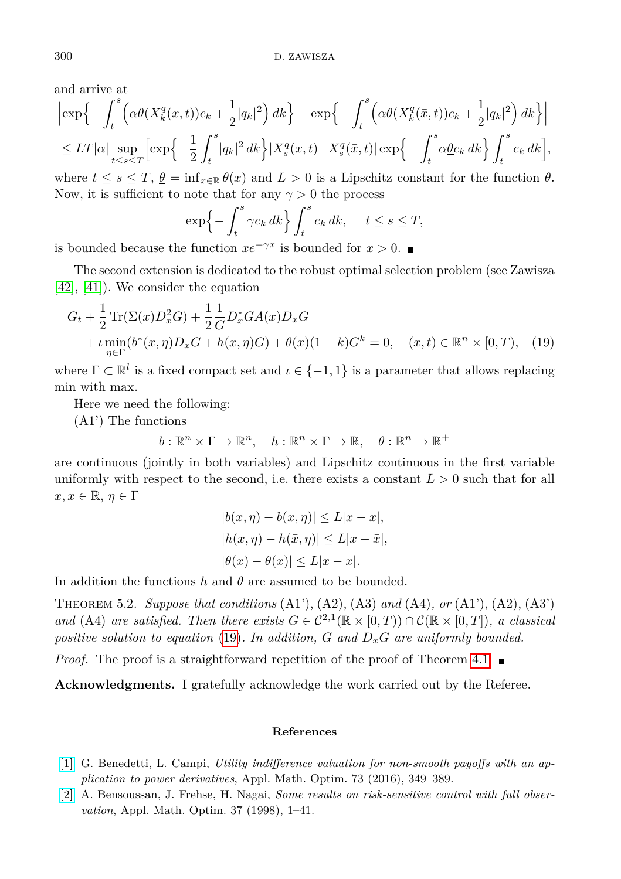and arrive at

$$
\left| \exp \left\{ - \int_t^s \left( \alpha \theta (X_k^q(x,t))c_k + \frac{1}{2}|q_k|^2 \right) dk \right\} - \exp \left\{ - \int_t^s \left( \alpha \theta (X_k^q(\bar{x},t))c_k + \frac{1}{2}|q_k|^2 \right) dk \right\} \right|
$$
  
\n
$$
\leq LT|\alpha| \sup_{t \leq s \leq T} \left[ \exp \left\{ -\frac{1}{2} \int_t^s |q_k|^2 dk \right\} |X_s^q(x,t) - X_s^q(\bar{x},t)| \exp \left\{ - \int_t^s \alpha \underline{\theta} c_k dk \right\} \int_t^s c_k dk \right],
$$

where  $t \leq s \leq T$ ,  $\theta = \inf_{x \in \mathbb{R}} \theta(x)$  and  $L > 0$  is a Lipschitz constant for the function  $\theta$ . Now, it is sufficient to note that for any  $\gamma > 0$  the process

$$
\exp\left\{-\int_t^s \gamma c_k \, dk\right\} \int_t^s c_k \, dk, \quad t \le s \le T,
$$

is bounded because the function  $xe^{-\gamma x}$  is bounded for  $x > 0$ .

The second extension is dedicated to the robust optimal selection problem (see Zawisza [\[42\]](#page-15-15), [\[41\]](#page-15-16)). We consider the equation

$$
G_t + \frac{1}{2} \text{Tr}(\Sigma(x)D_x^2 G) + \frac{1}{2} \frac{1}{G} D_x^* G A(x) D_x G + \iota \min_{\eta \in \Gamma} (b^*(x, \eta) D_x G + h(x, \eta) G) + \theta(x) (1 - k) G^k = 0, \quad (x, t) \in \mathbb{R}^n \times [0, T), \quad (19)
$$

where  $\Gamma \subset \mathbb{R}^l$  is a fixed compact set and  $\iota \in \{-1,1\}$  is a parameter that allows replacing min with max.

Here we need the following:

(A1') The functions

$$
b: \mathbb{R}^n \times \Gamma \to \mathbb{R}^n, \quad h: \mathbb{R}^n \times \Gamma \to \mathbb{R}, \quad \theta: \mathbb{R}^n \to \mathbb{R}^+
$$

are continuous (jointly in both variables) and Lipschitz continuous in the first variable uniformly with respect to the second, i.e. there exists a constant  $L > 0$  such that for all  $x, \bar{x} \in \mathbb{R}, \eta \in \Gamma$ 

<span id="page-13-2"></span>
$$
|b(x, \eta) - b(\bar{x}, \eta)| \le L|x - \bar{x}|,
$$
  
\n
$$
|h(x, \eta) - h(\bar{x}, \eta)| \le L|x - \bar{x}|,
$$
  
\n
$$
|\theta(x) - \theta(\bar{x})| \le L|x - \bar{x}|.
$$

In addition the functions *h* and *θ* are assumed to be bounded.

Theorem 5.2. *Suppose that conditions* (A1'), (A2), (A3) *and* (A4)*, or* (A1'), (A2), (A3') *and* (A4) *are satisfied. Then there exists*  $G \in C^{2,1}(\mathbb{R} \times [0,T]) \cap C(\mathbb{R} \times [0,T])$ *, a classical positive solution to equation* [\(19\)](#page-13-2)*. In addition, G and DxG are uniformly bounded.*

*Proof.* The proof is a straightforward repetition of the proof of Theorem [4.1.](#page-11-0)

Acknowledgments. I gratefully acknowledge the work carried out by the Referee.

## **References**

- <span id="page-13-1"></span>[\[1\]](http://dx.doi.org/10.1007/s00245-015-9306-4) G. Benedetti, L. Campi, *Utility indifference valuation for non-smooth payoffs with an application to power derivatives*, Appl. Math. Optim. 73 (2016), 349–389.
- <span id="page-13-0"></span>[\[2\]](http://dx.doi.org/10.1007/s002459900067) A. Bensoussan, J. Frehse, H. Nagai, *Some results on risk-sensitive control with full observation*, Appl. Math. Optim. 37 (1998), 1–41.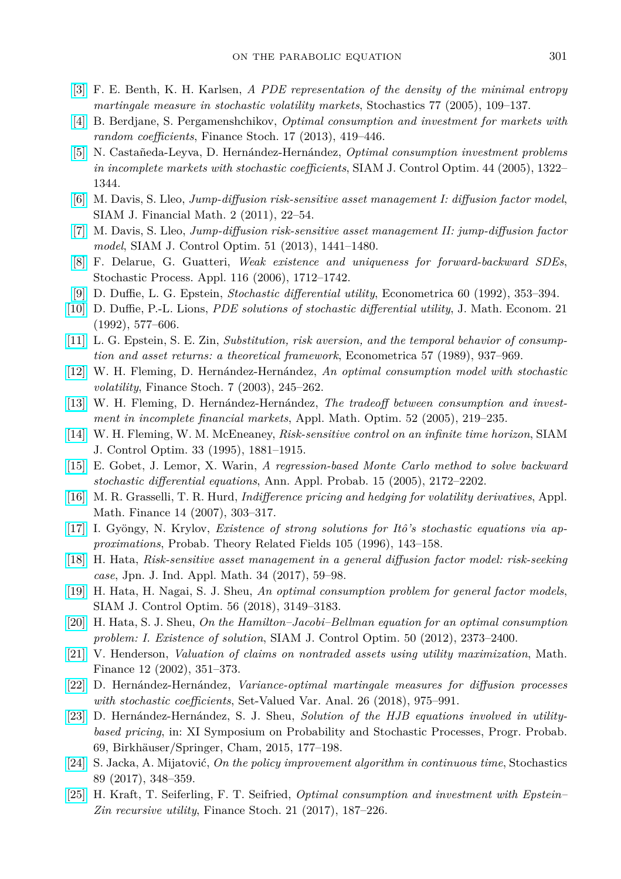- <span id="page-14-14"></span>[\[3\]](http://dx.doi.org/10.1080/10451120500031736) F. E. Benth, K. H. Karlsen, *A PDE representation of the density of the minimal entropy martingale measure in stochastic volatility markets*, Stochastics 77 (2005), 109–137.
- <span id="page-14-6"></span>[\[4\]](http://dx.doi.org/10.1007/s00780-012-0193-0) B. Berdjane, S. Pergamenshchikov, *Optimal consumption and investment for markets with random coefficients*, Finance Stoch. 17 (2013), 419–446.
- <span id="page-14-4"></span>[\[5\]](http://dx.doi.org/10.1137/S0363012904440885) N. Castañeda-Leyva, D. Hernández-Hernández, *Optimal consumption investment problems in incomplete markets with stochastic coefficients*, SIAM J. Control Optim. 44 (2005), 1322– 1344.
- <span id="page-14-1"></span>[\[6\]](http://dx.doi.org/10.1137/090760180) M. Davis, S. Lleo, *Jump-diffusion risk-sensitive asset management I: diffusion factor model*, SIAM J. Financial Math. 2 (2011), 22–54.
- <span id="page-14-2"></span>[\[7\]](http://dx.doi.org/10.1137/110825881) M. Davis, S. Lleo, *Jump-diffusion risk-sensitive asset management II: jump-diffusion factor model*, SIAM J. Control Optim. 51 (2013), 1441–1480.
- <span id="page-14-3"></span>[\[8\]](http://dx.doi.org/10.1016/j.spa.2006.05.002) F. Delarue, G. Guatteri, *Weak existence and uniqueness for forward-backward SDEs*, Stochastic Process. Appl. 116 (2006), 1712–1742.
- <span id="page-14-20"></span>[\[9\]](http://dx.doi.org/10.2307/2951600) D. Duffie, L. G. Epstein, *Stochastic differential utility*, Econometrica 60 (1992), 353–394.
- <span id="page-14-21"></span>[\[10\]](http://dx.doi.org/10.1016/0304-4068(92)90028-6) D. Duffie, P.-L. Lions, *PDE solutions of stochastic differential utility*, J. Math. Econom. 21 (1992), 577–606.
- [\[11\]](http://dx.doi.org/10.2307/1913778) L. G. Epstein, S. E. Zin, *Substitution, risk aversion, and the temporal behavior of consumption and asset returns: a theoretical framework*, Econometrica 57 (1989), 937–969.
- <span id="page-14-7"></span>[\[12\]](http://dx.doi.org/10.1007/s007800200083) W. H. Fleming, D. Hernández-Hernández, *An optimal consumption model with stochastic volatility*, Finance Stoch. 7 (2003), 245–262.
- <span id="page-14-8"></span>[\[13\]](http://dx.doi.org/10.1007/s00245-005-0826-1) W. H. Fleming, D. Hernández-Hernández, *The tradeoff between consumption and investment in incomplete financial markets*, Appl. Math. Optim. 52 (2005), 219–235.
- <span id="page-14-11"></span>[\[14\]](http://dx.doi.org/10.1137/S0363012993258720) W. H. Fleming, W. M. McEneaney, *Risk-sensitive control on an infinite time horizon*, SIAM J. Control Optim. 33 (1995), 1881–1915.
- <span id="page-14-12"></span>[\[15\]](http://dx.doi.org/10.1214/105051605000000412) E. Gobet, J. Lemor, X. Warin, *A regression-based Monte Carlo method to solve backward stochastic differential equations*, Ann. Appl. Probab. 15 (2005), 2172–2202.
- <span id="page-14-17"></span>[\[16\]](http://dx.doi.org/10.1080/13527260600963851) M. R. Grasselli, T. R. Hurd, *Indifference pricing and hedging for volatility derivatives*, Appl. Math. Finance 14 (2007), 303–317.
- <span id="page-14-19"></span>[\[17\]](http://dx.doi.org/10.1007/BF01203833) I. Gyöngy, N. Krylov, *Existence of strong solutions for Itô's stochastic equations via approximations*, Probab. Theory Related Fields 105 (1996), 143–158.
- <span id="page-14-0"></span>[\[18\]](http://dx.doi.org/10.1007/s13160-017-0242-3) H. Hata, *Risk-sensitive asset management in a general diffusion factor model: risk-seeking case*, Jpn. J. Ind. Appl. Math. 34 (2017), 59–98.
- <span id="page-14-10"></span>[\[19\]](http://dx.doi.org/10.1137/17M1135864) H. Hata, H. Nagai, S. J. Sheu, *An optimal consumption problem for general factor models*, SIAM J. Control Optim. 56 (2018), 3149–3183.
- <span id="page-14-9"></span>[\[20\]](http://dx.doi.org/10.1137/110794845) H. Hata, S. J. Sheu, *On the Hamilton–Jacobi–Bellman equation for an optimal consumption problem: I. Existence of solution*, SIAM J. Control Optim. 50 (2012), 2373–2400.
- <span id="page-14-16"></span>[\[21\]](http://dx.doi.org/10.1111/j.1467-9965.2002.tb00129.x) V. Henderson, *Valuation of claims on nontraded assets using utility maximization*, Math. Finance 12 (2002), 351–373.
- <span id="page-14-18"></span>[\[22\]](http://dx.doi.org/10.1007/s11228-017-0435-6) D. Hernández-Hernández, *Variance-optimal martingale measures for diffusion processes with stochastic coefficients*, Set-Valued Var. Anal. 26 (2018), 975–991.
- <span id="page-14-15"></span>[\[23\]](http://dx.doi.org/10.1007/978-3-319-13984-5_9) D. Hernández-Hernández, S. J. Sheu, *Solution of the HJB equations involved in utilitybased pricing*, in: XI Symposium on Probability and Stochastic Processes, Progr. Probab. 69, Birkhäuser/Springer, Cham, 2015, 177–198.
- <span id="page-14-13"></span>[\[24\]](http://dx.doi.org/10.1080/17442508.2016.1187609) S. Jacka, A. Mijatović, *On the policy improvement algorithm in continuous time*, Stochastics 89 (2017), 348–359.
- <span id="page-14-5"></span>[\[25\]](http://dx.doi.org/10.1007/s00780-016-0316-0) H. Kraft, T. Seiferling, F. T. Seifried, *Optimal consumption and investment with Epstein– Zin recursive utility*, Finance Stoch. 21 (2017), 187–226.